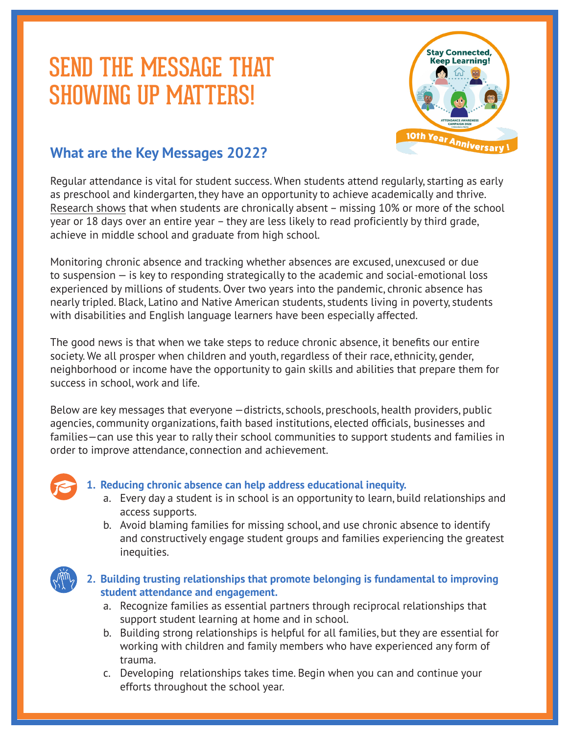# SEND THE MESSAGE THAT SHOWING UP MATTERS!



## **What are the Key Messages 2022?**

Regular attendance is vital for student success. When students attend regularly, starting as early as preschool and kindergarten, they have an opportunity to achieve academically and thrive. [Research shows](https://awareness.attendanceworks.org/wp-content/uploads/Research2016.pdf) that when students are chronically absent – missing 10% or more of the school year or 18 days over an entire year – they are less likely to read proficiently by third grade, achieve in middle school and graduate from high school.

Monitoring chronic absence and tracking whether absences are excused, unexcused or due to suspension — is key to responding strategically to the academic and social-emotional loss experienced by millions of students. Over two years into the pandemic, chronic absence has nearly tripled. Black, Latino and Native American students, students living in poverty, students with disabilities and English language learners have been especially affected.

The good news is that when we take steps to reduce chronic absence, it benefits our entire society. We all prosper when children and youth, regardless of their race, ethnicity, gender, neighborhood or income have the opportunity to gain skills and abilities that prepare them for success in school, work and life.

Below are key messages that everyone —districts, schools, preschools, health providers, public agencies, community organizations, faith based institutions, elected officials, businesses and families—can use this year to rally their school communities to support students and families in order to improve attendance, connection and achievement.

### **1. Reducing chronic absence can help address educational inequity.**

- a. Every day a student is in school is an opportunity to learn, build relationships and access supports.
- b. Avoid blaming families for missing school, and use chronic absence to identify and constructively engage student groups and families experiencing the greatest inequities.

#### **2. Building trusting relationships that promote belonging is fundamental to improving student attendance and engagement.**

- a. Recognize families as essential partners through reciprocal relationships that support student learning at home and in school.
- b. Building strong relationships is helpful for all families, but they are essential for working with children and family members who have experienced any form of trauma.
- c. Developing relationships takes time. Begin when you can and continue your efforts throughout the school year.